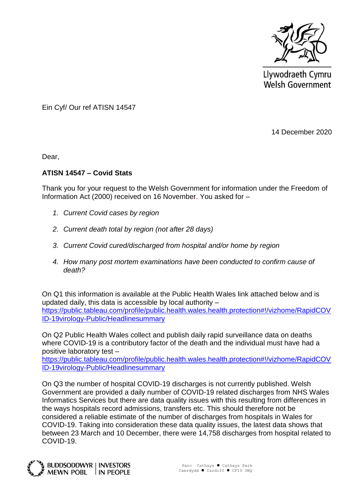

Llywodraeth Cymru **Welsh Government** 

Ein Cyf/ Our ref ATISN 14547

14 December 2020

Dear,

## **ATISN 14547 – Covid Stats**

Thank you for your request to the Welsh Government for information under the Freedom of Information Act (2000) received on 16 November. You asked for –

- *1. Current Covid cases by region*
- *2. Current death total by region (not after 28 days)*
- *3. Current Covid cured/discharged from hospital and/or home by region*
- *4. How many post mortem examinations have been conducted to confirm cause of death?*

On Q1 this information is available at the Public Health Wales link attached below and is updated daily, this data is accessible by local authority – [https://public.tableau.com/profile/public.health.wales.health.protection#!/vizhome/RapidCOV](https://public.tableau.com/profile/public.health.wales.health.protection#!/vizhome/RapidCOVID-19virology-Public/Headlinesummary) [ID-19virology-Public/Headlinesummary](https://public.tableau.com/profile/public.health.wales.health.protection#!/vizhome/RapidCOVID-19virology-Public/Headlinesummary)

On Q2 Public Health Wales collect and publish daily rapid surveillance data on deaths where COVID-19 is a contributory factor of the death and the individual must have had a positive laboratory test –

[https://public.tableau.com/profile/public.health.wales.health.protection#!/vizhome/RapidCOV](https://eur01.safelinks.protection.outlook.com/?url=https%3A%2F%2Fpublic.tableau.com%2Fprofile%2Fpublic.health.wales.health.protection%23!%2Fvizhome%2FRapidCOVID-19virology-Public%2FHeadlinesummary&data=04%7C01%7CSamiya.Ahmed003%40gov.wales%7C84ff613b955143b1cde508d8824febc0%7Ca2cc36c592804ae78887d06dab89216b%7C0%7C0%7C637402627057997660%7CUnknown%7CTWFpbGZsb3d8eyJWIjoiMC4wLjAwMDAiLCJQIjoiV2luMzIiLCJBTiI6Ik1haWwiLCJXVCI6Mn0%3D%7C1000&sdata=t7umGV%2BTZ3SFHiF5VATwxNbdquv%2BbvcdvHP7hPFgttI%3D&reserved=0) [ID-19virology-Public/Headlinesummary](https://eur01.safelinks.protection.outlook.com/?url=https%3A%2F%2Fpublic.tableau.com%2Fprofile%2Fpublic.health.wales.health.protection%23!%2Fvizhome%2FRapidCOVID-19virology-Public%2FHeadlinesummary&data=04%7C01%7CSamiya.Ahmed003%40gov.wales%7C84ff613b955143b1cde508d8824febc0%7Ca2cc36c592804ae78887d06dab89216b%7C0%7C0%7C637402627057997660%7CUnknown%7CTWFpbGZsb3d8eyJWIjoiMC4wLjAwMDAiLCJQIjoiV2luMzIiLCJBTiI6Ik1haWwiLCJXVCI6Mn0%3D%7C1000&sdata=t7umGV%2BTZ3SFHiF5VATwxNbdquv%2BbvcdvHP7hPFgttI%3D&reserved=0)

On Q3 the number of hospital COVID-19 discharges is not currently published. Welsh Government are provided a daily number of COVID-19 related discharges from NHS Wales Informatics Services but there are data quality issues with this resulting from differences in the ways hospitals record admissions, transfers etc. This should therefore not be considered a reliable estimate of the number of discharges from hospitals in Wales for COVID-19. Taking into consideration these data quality issues, the latest data shows that between 23 March and 10 December, there were 14,758 discharges from hospital related to COVID-19.